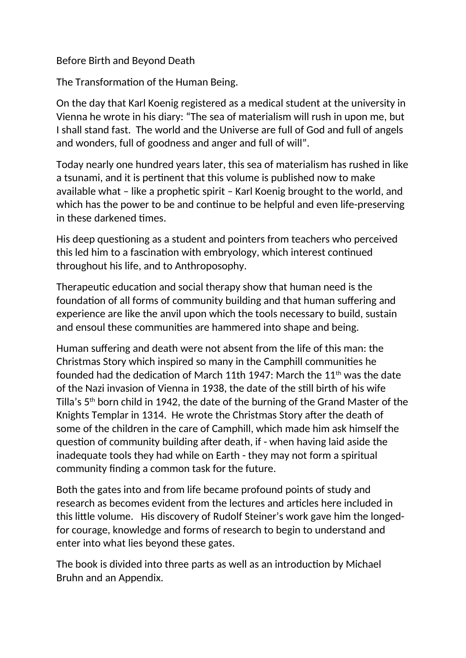## Before Birth and Beyond Death

The Transformation of the Human Being.

On the day that Karl Koenig registered as a medical student at the university in Vienna he wrote in his diary: "The sea of materialism will rush in upon me, but I shall stand fast. The world and the Universe are full of God and full of angels and wonders, full of goodness and anger and full of will".

Today nearly one hundred years later, this sea of materialism has rushed in like a tsunami, and it is pertinent that this volume is published now to make available what – like a prophetic spirit – Karl Koenig brought to the world, and which has the power to be and continue to be helpful and even life-preserving in these darkened times.

His deep questioning as a student and pointers from teachers who perceived this led him to a fascination with embryology, which interest continued throughout his life, and to Anthroposophy.

Therapeutic education and social therapy show that human need is the foundation of all forms of community building and that human suffering and experience are like the anvil upon which the tools necessary to build, sustain and ensoul these communities are hammered into shape and being.

Human suffering and death were not absent from the life of this man: the Christmas Story which inspired so many in the Camphill communities he founded had the dedication of March 11th 1947: March the 11<sup>th</sup> was the date of the Nazi invasion of Vienna in 1938, the date of the still birth of his wife Tilla's 5th born child in 1942, the date of the burning of the Grand Master of the Knights Templar in 1314. He wrote the Christmas Story after the death of some of the children in the care of Camphill, which made him ask himself the question of community building after death, if - when having laid aside the inadequate tools they had while on Earth - they may not form a spiritual community finding a common task for the future.

Both the gates into and from life became profound points of study and research as becomes evident from the lectures and articles here included in this little volume. His discovery of Rudolf Steiner's work gave him the longedfor courage, knowledge and forms of research to begin to understand and enter into what lies beyond these gates.

The book is divided into three parts as well as an introduction by Michael Bruhn and an Appendix.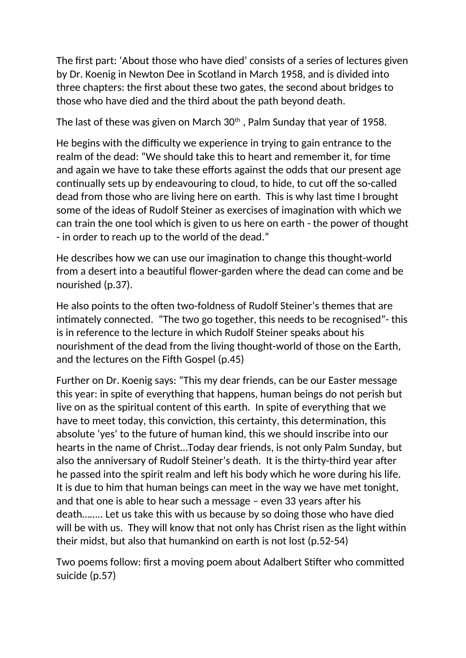The first part: 'About those who have died' consists of a series of lectures given by Dr. Koenig in Newton Dee in Scotland in March 1958, and is divided into three chapters: the first about these two gates, the second about bridges to those who have died and the third about the path beyond death.

The last of these was given on March  $30<sup>th</sup>$ , Palm Sunday that year of 1958.

He begins with the difficulty we experience in trying to gain entrance to the realm of the dead: "We should take this to heart and remember it, for time and again we have to take these efforts against the odds that our present age continually sets up by endeavouring to cloud, to hide, to cut off the so-called dead from those who are living here on earth. This is why last time I brought some of the ideas of Rudolf Steiner as exercises of imagination with which we can train the one tool which is given to us here on earth - the power of thought - in order to reach up to the world of the dead."

He describes how we can use our imagination to change this thought-world from a desert into a beautiful flower-garden where the dead can come and be nourished (p.37).

He also points to the often two-foldness of Rudolf Steiner's themes that are intimately connected. "The two go together, this needs to be recognised"- this is in reference to the lecture in which Rudolf Steiner speaks about his nourishment of the dead from the living thought-world of those on the Earth, and the lectures on the Fifth Gospel (p.45)

Further on Dr. Koenig says: "This my dear friends, can be our Easter message this year: in spite of everything that happens, human beings do not perish but live on as the spiritual content of this earth. In spite of everything that we have to meet today, this conviction, this certainty, this determination, this absolute 'yes' to the future of human kind, this we should inscribe into our hearts in the name of Christ…Today dear friends, is not only Palm Sunday, but also the anniversary of Rudolf Steiner's death. It is the thirty-third year after he passed into the spirit realm and left his body which he wore during his life. It is due to him that human beings can meet in the way we have met tonight, and that one is able to hear such a message – even 33 years after his death…….. Let us take this with us because by so doing those who have died will be with us. They will know that not only has Christ risen as the light within their midst, but also that humankind on earth is not lost (p.52-54)

Two poems follow: first a moving poem about Adalbert Stifter who committed suicide (p.57)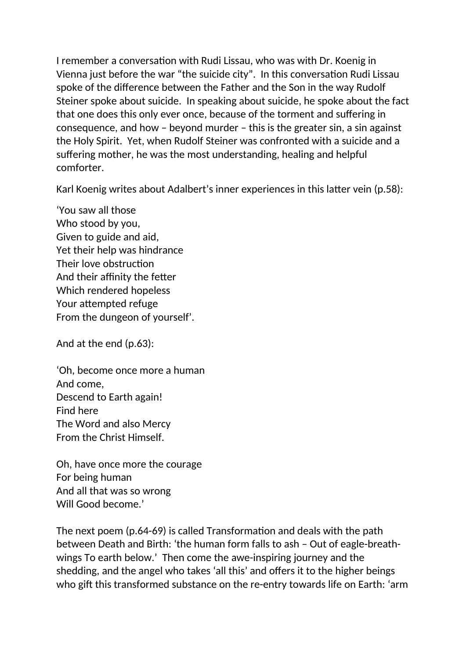I remember a conversation with Rudi Lissau, who was with Dr. Koenig in Vienna just before the war "the suicide city". In this conversation Rudi Lissau spoke of the difference between the Father and the Son in the way Rudolf Steiner spoke about suicide. In speaking about suicide, he spoke about the fact that one does this only ever once, because of the torment and suffering in consequence, and how – beyond murder – this is the greater sin, a sin against the Holy Spirit. Yet, when Rudolf Steiner was confronted with a suicide and a suffering mother, he was the most understanding, healing and helpful comforter.

Karl Koenig writes about Adalbert's inner experiences in this latter vein (p.58):

'You saw all those Who stood by you, Given to guide and aid, Yet their help was hindrance Their love obstruction And their affinity the fetter Which rendered hopeless Your attempted refuge From the dungeon of yourself'.

And at the end (p.63):

'Oh, become once more a human And come, Descend to Earth again! Find here The Word and also Mercy From the Christ Himself.

Oh, have once more the courage For being human And all that was so wrong Will Good become.'

The next poem (p.64-69) is called Transformation and deals with the path between Death and Birth: 'the human form falls to ash – Out of eagle-breathwings To earth below.' Then come the awe-inspiring journey and the shedding, and the angel who takes 'all this' and offers it to the higher beings who gift this transformed substance on the re-entry towards life on Earth: 'arm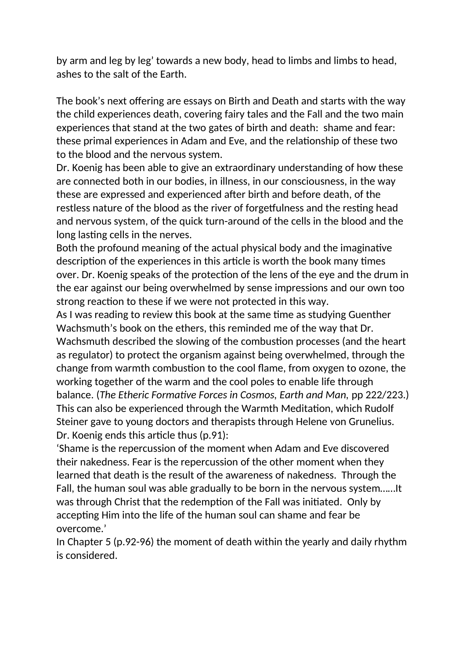by arm and leg by leg' towards a new body, head to limbs and limbs to head, ashes to the salt of the Earth.

The book's next offering are essays on Birth and Death and starts with the way the child experiences death, covering fairy tales and the Fall and the two main experiences that stand at the two gates of birth and death: shame and fear: these primal experiences in Adam and Eve, and the relationship of these two to the blood and the nervous system.

Dr. Koenig has been able to give an extraordinary understanding of how these are connected both in our bodies, in illness, in our consciousness, in the way these are expressed and experienced after birth and before death, of the restless nature of the blood as the river of forgetfulness and the resting head and nervous system, of the quick turn-around of the cells in the blood and the long lasting cells in the nerves.

Both the profound meaning of the actual physical body and the imaginative description of the experiences in this article is worth the book many times over. Dr. Koenig speaks of the protection of the lens of the eye and the drum in the ear against our being overwhelmed by sense impressions and our own too strong reaction to these if we were not protected in this way.

As I was reading to review this book at the same time as studying Guenther Wachsmuth's book on the ethers, this reminded me of the way that Dr.

Wachsmuth described the slowing of the combustion processes (and the heart as regulator) to protect the organism against being overwhelmed, through the change from warmth combustion to the cool flame, from oxygen to ozone, the working together of the warm and the cool poles to enable life through

balance. (*The Etheric Formative Forces in Cosmos, Earth and Man,* pp 222/223.) This can also be experienced through the Warmth Meditation, which Rudolf Steiner gave to young doctors and therapists through Helene von Grunelius. Dr. Koenig ends this article thus (p.91):

'Shame is the repercussion of the moment when Adam and Eve discovered their nakedness. Fear is the repercussion of the other moment when they learned that death is the result of the awareness of nakedness. Through the Fall, the human soul was able gradually to be born in the nervous system……It was through Christ that the redemption of the Fall was initiated. Only by accepting Him into the life of the human soul can shame and fear be overcome.'

In Chapter 5 (p.92-96) the moment of death within the yearly and daily rhythm is considered.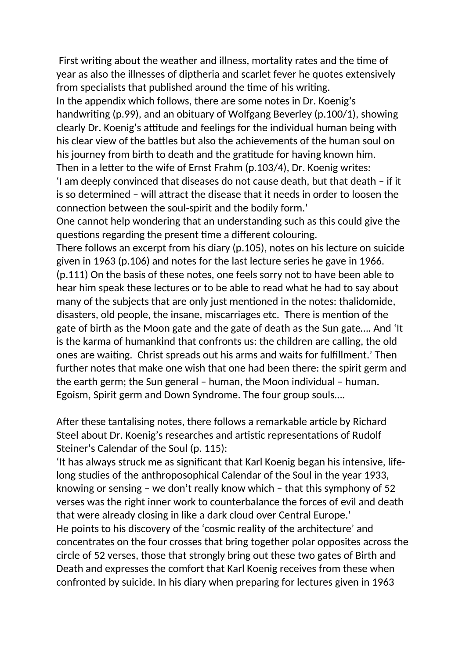First writing about the weather and illness, mortality rates and the time of year as also the illnesses of diptheria and scarlet fever he quotes extensively from specialists that published around the time of his writing. In the appendix which follows, there are some notes in Dr. Koenig's handwriting (p.99), and an obituary of Wolfgang Beverley (p.100/1), showing clearly Dr. Koenig's attitude and feelings for the individual human being with his clear view of the battles but also the achievements of the human soul on his journey from birth to death and the gratitude for having known him. Then in a letter to the wife of Ernst Frahm (p.103/4), Dr. Koenig writes: 'I am deeply convinced that diseases do not cause death, but that death – if it is so determined – will attract the disease that it needs in order to loosen the

connection between the soul-spirit and the bodily form.'

One cannot help wondering that an understanding such as this could give the questions regarding the present time a different colouring.

There follows an excerpt from his diary (p.105), notes on his lecture on suicide given in 1963 (p.106) and notes for the last lecture series he gave in 1966. (p.111) On the basis of these notes, one feels sorry not to have been able to hear him speak these lectures or to be able to read what he had to say about many of the subjects that are only just mentioned in the notes: thalidomide, disasters, old people, the insane, miscarriages etc. There is mention of the gate of birth as the Moon gate and the gate of death as the Sun gate…. And 'It is the karma of humankind that confronts us: the children are calling, the old ones are waiting. Christ spreads out his arms and waits for fulfillment.' Then further notes that make one wish that one had been there: the spirit germ and the earth germ; the Sun general – human, the Moon individual – human. Egoism, Spirit germ and Down Syndrome. The four group souls….

After these tantalising notes, there follows a remarkable article by Richard Steel about Dr. Koenig's researches and artistic representations of Rudolf Steiner's Calendar of the Soul (p. 115):

'It has always struck me as significant that Karl Koenig began his intensive, lifelong studies of the anthroposophical Calendar of the Soul in the year 1933, knowing or sensing – we don't really know which – that this symphony of 52 verses was the right inner work to counterbalance the forces of evil and death that were already closing in like a dark cloud over Central Europe.' He points to his discovery of the 'cosmic reality of the architecture' and concentrates on the four crosses that bring together polar opposites across the circle of 52 verses, those that strongly bring out these two gates of Birth and Death and expresses the comfort that Karl Koenig receives from these when confronted by suicide. In his diary when preparing for lectures given in 1963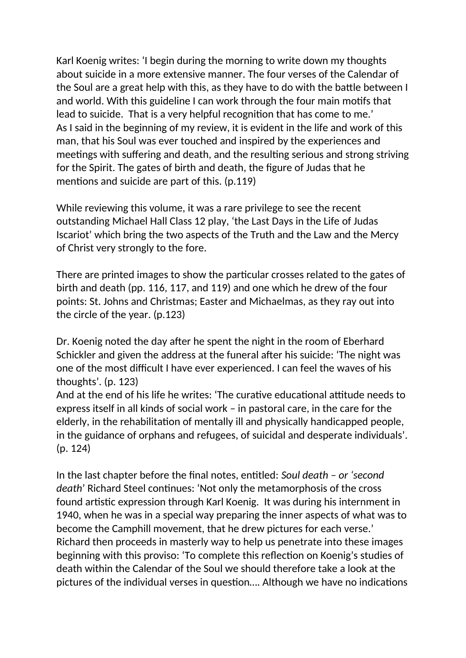Karl Koenig writes: 'I begin during the morning to write down my thoughts about suicide in a more extensive manner. The four verses of the Calendar of the Soul are a great help with this, as they have to do with the battle between I and world. With this guideline I can work through the four main motifs that lead to suicide. That is a very helpful recognition that has come to me.' As I said in the beginning of my review, it is evident in the life and work of this man, that his Soul was ever touched and inspired by the experiences and meetings with suffering and death, and the resulting serious and strong striving for the Spirit. The gates of birth and death, the figure of Judas that he mentions and suicide are part of this. (p.119)

While reviewing this volume, it was a rare privilege to see the recent outstanding Michael Hall Class 12 play, 'the Last Days in the Life of Judas Iscariot' which bring the two aspects of the Truth and the Law and the Mercy of Christ very strongly to the fore.

There are printed images to show the particular crosses related to the gates of birth and death (pp. 116, 117, and 119) and one which he drew of the four points: St. Johns and Christmas; Easter and Michaelmas, as they ray out into the circle of the year. (p.123)

Dr. Koenig noted the day after he spent the night in the room of Eberhard Schickler and given the address at the funeral after his suicide: 'The night was one of the most difficult I have ever experienced. I can feel the waves of his thoughts'. (p. 123)

And at the end of his life he writes: 'The curative educational attitude needs to express itself in all kinds of social work – in pastoral care, in the care for the elderly, in the rehabilitation of mentally ill and physically handicapped people, in the guidance of orphans and refugees, of suicidal and desperate individuals'. (p. 124)

In the last chapter before the final notes, entitled: *Soul death – or 'second death*' Richard Steel continues: 'Not only the metamorphosis of the cross found artistic expression through Karl Koenig. It was during his internment in 1940, when he was in a special way preparing the inner aspects of what was to become the Camphill movement, that he drew pictures for each verse.' Richard then proceeds in masterly way to help us penetrate into these images beginning with this proviso: 'To complete this reflection on Koenig's studies of death within the Calendar of the Soul we should therefore take a look at the pictures of the individual verses in question…. Although we have no indications